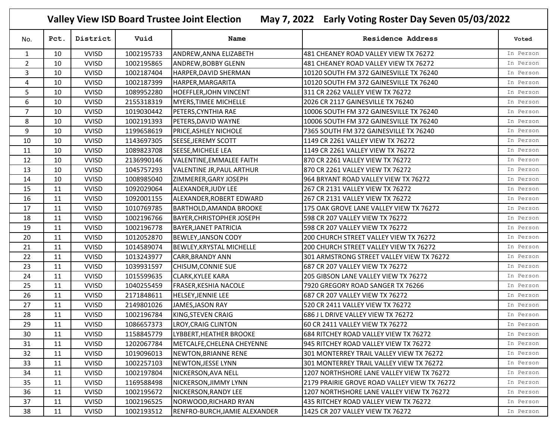**Valley View ISD Board Trustee Joint Election May 7, 2022 Early Voting Roster Day Seven 05/03/2022**

| No.            | Pct. | District     | Vuid       | Name                             | <b>Residence Address</b>                     | Voted     |
|----------------|------|--------------|------------|----------------------------------|----------------------------------------------|-----------|
| $\mathbf{1}$   | 10   | <b>VVISD</b> | 1002195733 | ANDREW, ANNA ELIZABETH           | 481 CHEANEY ROAD VALLEY VIEW TX 76272        | In Person |
| $\overline{2}$ | 10   | <b>VVISD</b> | 1002195865 | ANDREW, BOBBY GLENN              | 481 CHEANEY ROAD VALLEY VIEW TX 76272        | In Person |
| $\mathbf{3}$   | 10   | <b>VVISD</b> | 1002187404 | HARPER, DAVID SHERMAN            | 10120 SOUTH FM 372 GAINESVILLE TX 76240      | In Person |
| 4              | 10   | <b>VVISD</b> | 1002187399 | HARPER, MARGARITA                | 10120 SOUTH FM 372 GAINESVILLE TX 76240      | In Person |
| 5              | 10   | <b>VVISD</b> | 1089952280 | <b>HOEFFLER, JOHN VINCENT</b>    | 311 CR 2262 VALLEY VIEW TX 76272             | In Person |
| 6              | 10   | <b>VVISD</b> | 2155318319 | MYERS, TIMEE MICHELLE            | 2026 CR 2117 GAINESVILLE TX 76240            | In Person |
| $\overline{7}$ | 10   | <b>VVISD</b> | 1019030442 | PETERS, CYNTHIA RAE              | 10006 SOUTH FM 372 GAINESVILLE TX 76240      | In Person |
| 8              | 10   | <b>VVISD</b> | 1002191393 | PETERS, DAVID WAYNE              | 10006 SOUTH FM 372 GAINESVILLE TX 76240      | In Person |
| 9              | 10   | <b>VVISD</b> | 1199658619 | PRICE, ASHLEY NICHOLE            | 7365 SOUTH FM 372 GAINESVILLE TX 76240       | In Person |
| 10             | 10   | <b>VVISD</b> | 1143697305 | SEESE, JEREMY SCOTT              | 1149 CR 2261 VALLEY VIEW TX 76272            | In Person |
| 11             | 10   | <b>VVISD</b> | 1089823708 | SEESE, MICHELE LEA               | 1149 CR 2261 VALLEY VIEW TX 76272            | In Person |
| 12             | 10   | <b>VVISD</b> | 2136990146 | VALENTINE, EMMALEE FAITH         | 870 CR 2261 VALLEY VIEW TX 76272             | In Person |
| 13             | 10   | <b>VVISD</b> | 1045757293 | VALENTINE JR, PAUL ARTHUR        | 870 CR 2261 VALLEY VIEW TX 76272             | In Person |
| 14             | 10   | <b>VVISD</b> | 1008985040 | ZIMMERER, GARY JOSEPH            | 964 BRYANT ROAD VALLEY VIEW TX 76272         | In Person |
| 15             | 11   | <b>VVISD</b> | 1092029064 | ALEXANDER, JUDY LEE              | 267 CR 2131 VALLEY VIEW TX 76272             | In Person |
| 16             | 11   | <b>VVISD</b> | 1092001155 | ALEXANDER, ROBERT EDWARD         | 267 CR 2131 VALLEY VIEW TX 76272             | In Person |
| 17             | 11   | <b>VVISD</b> | 1010769785 | BARTHOLD, AMANDA BROOKE          | 175 OAK GROVE LANE VALLEY VIEW TX 76272      | In Person |
| 18             | 11   | <b>VVISD</b> | 1002196766 | <b>BAYER, CHRISTOPHER JOSEPH</b> | 598 CR 207 VALLEY VIEW TX 76272              | In Person |
| 19             | 11   | <b>VVISD</b> | 1002196778 | <b>BAYER, JANET PATRICIA</b>     | 598 CR 207 VALLEY VIEW TX 76272              | In Person |
| 20             | 11   | <b>VVISD</b> | 1012052870 | <b>BEWLEY, JANSON CODY</b>       | 200 CHURCH STREET VALLEY VIEW TX 76272       | In Person |
| 21             | 11   | <b>VVISD</b> | 1014589074 | <b>BEWLEY, KRYSTAL MICHELLE</b>  | 200 CHURCH STREET VALLEY VIEW TX 76272       | In Person |
| 22             | 11   | <b>VVISD</b> | 1013243977 | CARR, BRANDY ANN                 | 301 ARMSTRONG STREET VALLEY VIEW TX 76272    | In Person |
| 23             | 11   | <b>VVISD</b> | 1039931597 | CHISUM, CONNIE SUE               | 687 CR 207 VALLEY VIEW TX 76272              | In Person |
| 24             | 11   | <b>VVISD</b> | 1015599635 | <b>CLARK, KYLEE KARA</b>         | 205 GIBSON LANE VALLEY VIEW TX 76272         | In Person |
| 25             | 11   | <b>VVISD</b> | 1040255459 | FRASER, KESHIA NACOLE            | 7920 GREGORY ROAD SANGER TX 76266            | In Person |
| 26             | 11   | <b>VVISD</b> | 2171848611 | HELSEY, JENNIE LEE               | 687 CR 207 VALLEY VIEW TX 76272              | In Person |
| 27             | 11   | <b>VVISD</b> | 2149801026 | JAMES, JASON RAY                 | 520 CR 2411 VALLEY VIEW TX 76272             | In Person |
| 28             | 11   | <b>VVISD</b> | 1002196784 | KING, STEVEN CRAIG               | 686 J L DRIVE VALLEY VIEW TX 76272           | In Person |
| 29             | 11   | <b>VVISD</b> | 1086657373 | <b>LROY, CRAIG CLINTON</b>       | 60 CR 2411 VALLEY VIEW TX 76272              | In Person |
| 30             | 11   | <b>VVISD</b> | 1158845779 | LYBBERT, HEATHER BROOKE          | 684 RITCHEY ROAD VALLEY VIEW TX 76272        | In Person |
| 31             | 11   | <b>VVISD</b> | 1202067784 | METCALFE, CHELENA CHEYENNE       | 945 RITCHEY ROAD VALLEY VIEW TX 76272        | In Person |
| 32             | 11   | <b>VVISD</b> | 1019096013 | NEWTON, BRIANNE RENE             | 301 MONTERREY TRAIL VALLEY VIEW TX 76272     | In Person |
| 33             | 11   | <b>VVISD</b> | 1002257103 | <b>NEWTON, JESSE LYNN</b>        | 301 MONTERREY TRAIL VALLEY VIEW TX 76272     | In Person |
| 34             | 11   | <b>VVISD</b> | 1002197804 | NICKERSON, AVA NELL              | 1207 NORTHSHORE LANE VALLEY VIEW TX 76272    | In Person |
| 35             | 11   | <b>VVISD</b> | 1169588498 | NICKERSON, JIMMY LYNN            | 2179 PRAIRIE GROVE ROAD VALLEY VIEW TX 76272 | In Person |
| 36             | 11   | <b>VVISD</b> | 1002195672 | NICKERSON, RANDY LEE             | 1207 NORTHSHORE LANE VALLEY VIEW TX 76272    | In Person |
| 37             | 11   | <b>VVISD</b> | 1002196525 | NORWOOD, RICHARD RYAN            | 435 RITCHEY ROAD VALLEY VIEW TX 76272        | In Person |
| 38             | 11   | <b>VVISD</b> | 1002193512 | RENFRO-BURCH, JAMIE ALEXANDER    | 1425 CR 207 VALLEY VIEW TX 76272             | In Person |